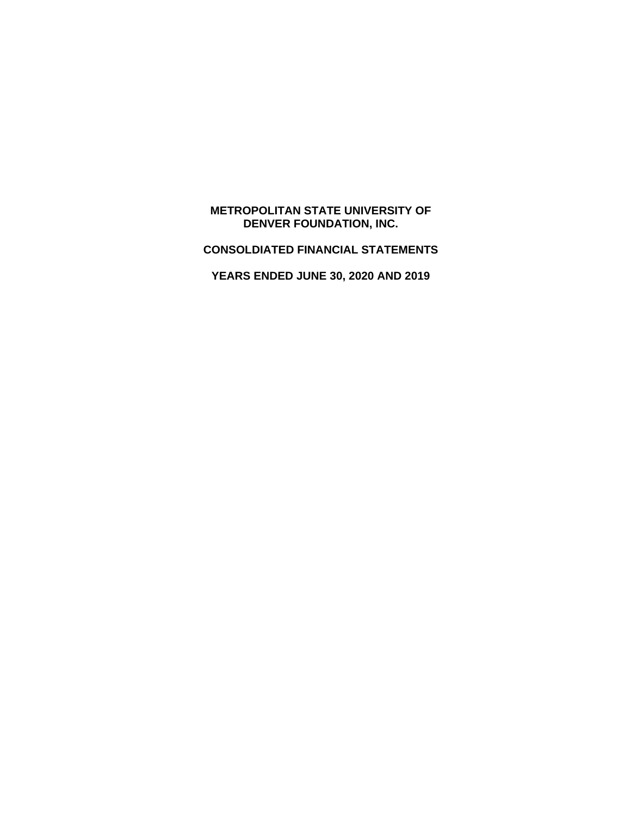# **METROPOLITAN STATE UNIVERSITY OF DENVER FOUNDATION, INC.**

**CONSOLDIATED FINANCIAL STATEMENTS** 

**YEARS ENDED JUNE 30, 2020 AND 2019**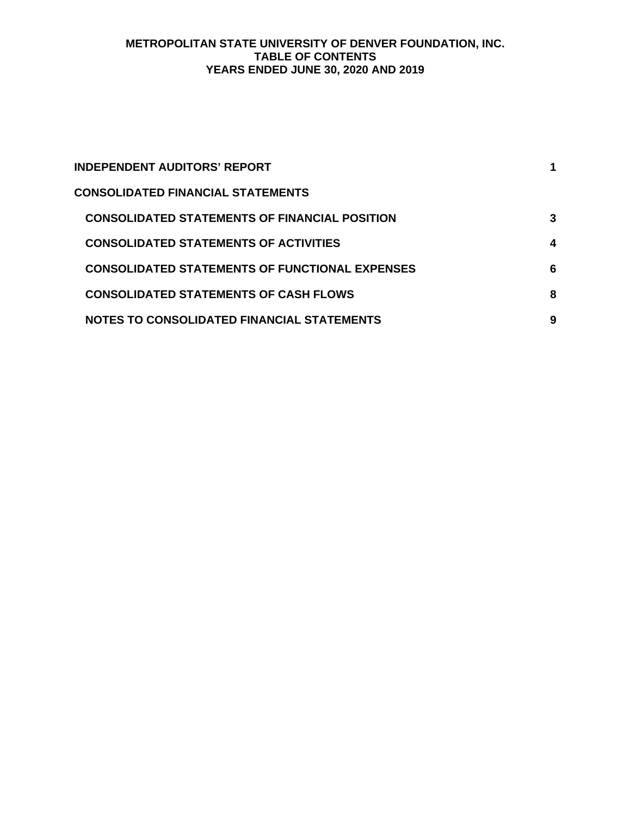# **METROPOLITAN STATE UNIVERSITY OF DENVER FOUNDATION, INC. TABLE OF CONTENTS YEARS ENDED JUNE 30, 2020 AND 2019**

| INDEPENDENT AUDITORS' REPORT                          |   |
|-------------------------------------------------------|---|
| CONSOLIDATED FINANCIAL STATEMENTS                     |   |
| <b>CONSOLIDATED STATEMENTS OF FINANCIAL POSITION</b>  | 3 |
| <b>CONSOLIDATED STATEMENTS OF ACTIVITIES</b>          | 4 |
| <b>CONSOLIDATED STATEMENTS OF FUNCTIONAL EXPENSES</b> | 6 |
| <b>CONSOLIDATED STATEMENTS OF CASH FLOWS</b>          | 8 |
| NOTES TO CONSOLIDATED FINANCIAL STATEMENTS            | 9 |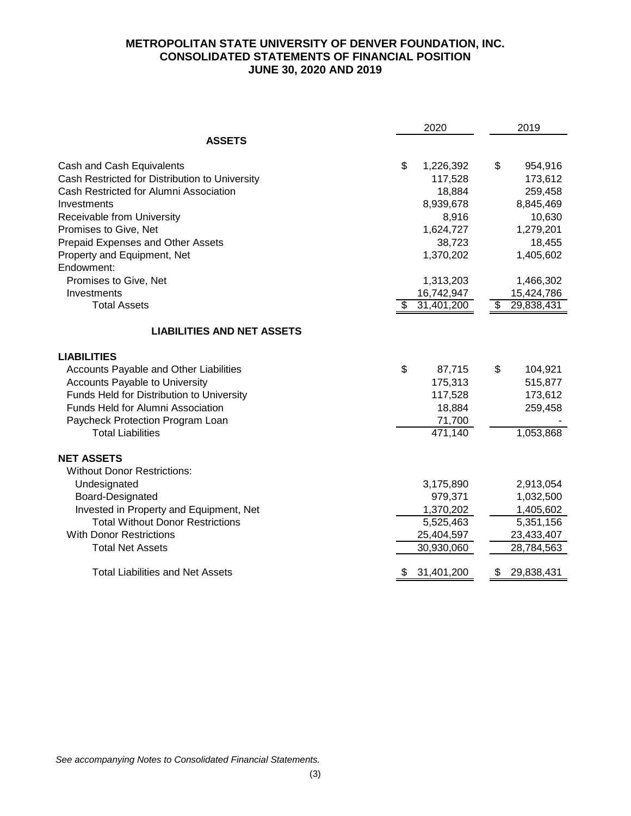# **METROPOLITAN STATE UNIVERSITY OF DENVER FOUNDATION, INC. CONSOLIDATED STATEMENTS OF FINANCIAL POSITION JUNE 30, 2020 AND 2019**

|                                                | 2020            | 2019             |  |  |
|------------------------------------------------|-----------------|------------------|--|--|
| <b>ASSETS</b>                                  |                 |                  |  |  |
| Cash and Cash Equivalents                      | \$<br>1,226,392 | \$<br>954,916    |  |  |
| Cash Restricted for Distribution to University | 117,528         | 173,612          |  |  |
| Cash Restricted for Alumni Association         | 18,884          | 259,458          |  |  |
| Investments                                    | 8,939,678       | 8,845,469        |  |  |
| Receivable from University                     | 8,916           | 10,630           |  |  |
| Promises to Give, Net                          | 1,624,727       | 1,279,201        |  |  |
| Prepaid Expenses and Other Assets              | 38,723          | 18,455           |  |  |
| Property and Equipment, Net                    | 1,370,202       | 1,405,602        |  |  |
| Endowment:                                     |                 |                  |  |  |
| Promises to Give, Net                          | 1,313,203       | 1,466,302        |  |  |
| Investments                                    | 16,742,947      | 15,424,786       |  |  |
| <b>Total Assets</b>                            | 31,401,200      | 29,838,431<br>\$ |  |  |
| <b>LIABILITIES AND NET ASSETS</b>              |                 |                  |  |  |
| <b>LIABILITIES</b>                             |                 |                  |  |  |
| <b>Accounts Payable and Other Liabilities</b>  | \$<br>87,715    | \$<br>104,921    |  |  |
| Accounts Payable to University                 | 175,313         | 515,877          |  |  |
| Funds Held for Distribution to University      | 117,528         | 173,612          |  |  |
| Funds Held for Alumni Association              | 18,884          | 259,458          |  |  |
| Paycheck Protection Program Loan               | 71,700          |                  |  |  |
| <b>Total Liabilities</b>                       | 471,140         | 1,053,868        |  |  |
| <b>NET ASSETS</b>                              |                 |                  |  |  |
| <b>Without Donor Restrictions:</b>             |                 |                  |  |  |
| Undesignated                                   | 3,175,890       | 2,913,054        |  |  |
| Board-Designated                               | 979,371         | 1,032,500        |  |  |
| Invested in Property and Equipment, Net        | 1,370,202       | 1,405,602        |  |  |
| <b>Total Without Donor Restrictions</b>        | 5,525,463       | 5,351,156        |  |  |
| <b>With Donor Restrictions</b>                 | 25,404,597      | 23,433,407       |  |  |
| <b>Total Net Assets</b>                        | 30,930,060      | 28,784,563       |  |  |
| <b>Total Liabilities and Net Assets</b>        | 31,401,200      | 29,838,431<br>S. |  |  |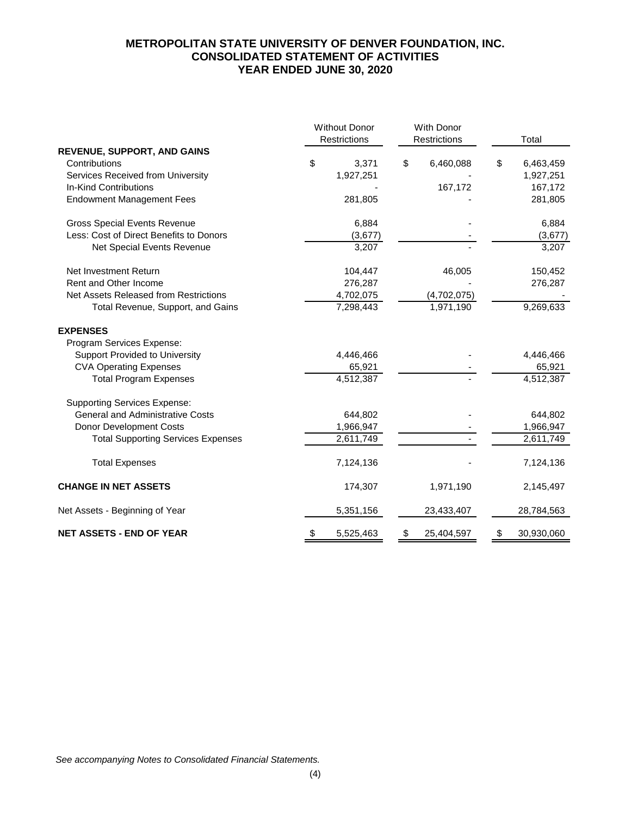# **METROPOLITAN STATE UNIVERSITY OF DENVER FOUNDATION, INC. CONSOLIDATED STATEMENT OF ACTIVITIES YEAR ENDED JUNE 30, 2020**

|                                           | <b>Without Donor</b><br>Restrictions | With Donor<br>Restrictions | Total            |
|-------------------------------------------|--------------------------------------|----------------------------|------------------|
| <b>REVENUE, SUPPORT, AND GAINS</b>        |                                      |                            |                  |
| Contributions                             | \$<br>3,371                          | \$<br>6,460,088            | \$<br>6,463,459  |
| Services Received from University         | 1,927,251                            |                            | 1,927,251        |
| In-Kind Contributions                     |                                      | 167,172                    | 167,172          |
| <b>Endowment Management Fees</b>          | 281,805                              |                            | 281,805          |
| <b>Gross Special Events Revenue</b>       | 6,884                                |                            | 6,884            |
| Less: Cost of Direct Benefits to Donors   | (3,677)                              |                            | (3,677)          |
| Net Special Events Revenue                | 3,207                                |                            | 3,207            |
| Net Investment Return                     | 104,447                              | 46,005                     | 150,452          |
| Rent and Other Income                     | 276,287                              |                            | 276,287          |
| Net Assets Released from Restrictions     | 4,702,075                            | (4,702,075)                |                  |
| Total Revenue, Support, and Gains         | 7,298,443                            | 1,971,190                  | 9,269,633        |
| <b>EXPENSES</b>                           |                                      |                            |                  |
| Program Services Expense:                 |                                      |                            |                  |
| <b>Support Provided to University</b>     | 4,446,466                            |                            | 4,446,466        |
| <b>CVA Operating Expenses</b>             | 65,921                               |                            | 65,921           |
| <b>Total Program Expenses</b>             | 4,512,387                            |                            | 4,512,387        |
| <b>Supporting Services Expense:</b>       |                                      |                            |                  |
| <b>General and Administrative Costs</b>   | 644,802                              |                            | 644,802          |
| Donor Development Costs                   | 1,966,947                            |                            | 1,966,947        |
| <b>Total Supporting Services Expenses</b> | 2,611,749                            |                            | 2,611,749        |
| <b>Total Expenses</b>                     | 7,124,136                            |                            | 7,124,136        |
| <b>CHANGE IN NET ASSETS</b>               | 174,307                              | 1,971,190                  | 2,145,497        |
| Net Assets - Beginning of Year            | 5,351,156                            | 23,433,407                 | 28,784,563       |
| <b>NET ASSETS - END OF YEAR</b>           | \$<br>5,525,463                      | \$<br>25,404,597           | \$<br>30,930,060 |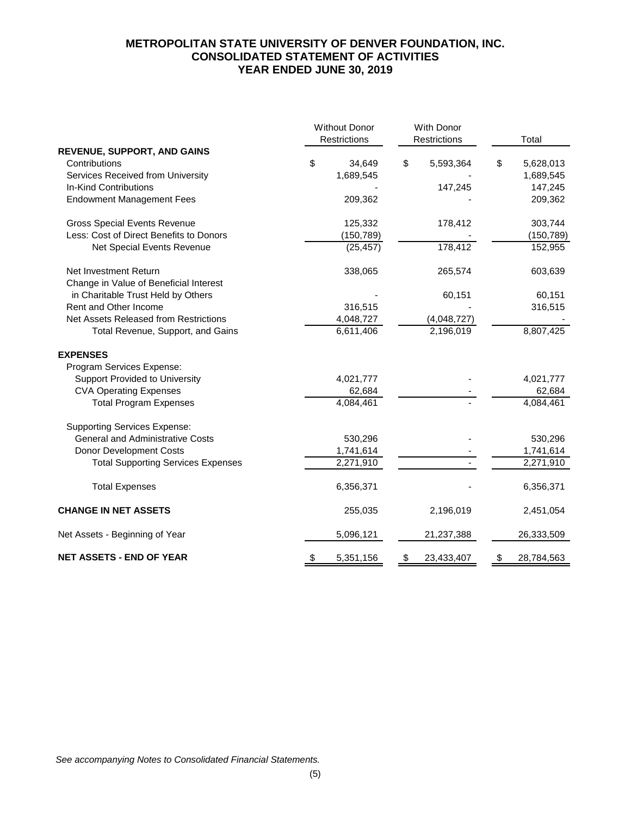# **METROPOLITAN STATE UNIVERSITY OF DENVER FOUNDATION, INC. CONSOLIDATED STATEMENT OF ACTIVITIES YEAR ENDED JUNE 30, 2019**

|                                           | <b>Without Donor</b><br>Restrictions | With Donor<br>Restrictions | Total            |
|-------------------------------------------|--------------------------------------|----------------------------|------------------|
| <b>REVENUE, SUPPORT, AND GAINS</b>        |                                      |                            |                  |
| Contributions                             | \$<br>34,649                         | \$<br>5,593,364            | \$<br>5,628,013  |
| Services Received from University         | 1,689,545                            |                            | 1,689,545        |
| In-Kind Contributions                     |                                      | 147,245                    | 147,245          |
| <b>Endowment Management Fees</b>          | 209,362                              |                            | 209,362          |
| <b>Gross Special Events Revenue</b>       | 125,332                              | 178,412                    | 303,744          |
| Less: Cost of Direct Benefits to Donors   | (150, 789)                           |                            | (150, 789)       |
| Net Special Events Revenue                | (25, 457)                            | 178,412                    | 152,955          |
| Net Investment Return                     | 338,065                              | 265,574                    | 603,639          |
| Change in Value of Beneficial Interest    |                                      |                            |                  |
| in Charitable Trust Held by Others        |                                      | 60,151                     | 60,151           |
| Rent and Other Income                     | 316,515                              |                            | 316,515          |
| Net Assets Released from Restrictions     | 4,048,727                            | (4,048,727)                |                  |
| Total Revenue, Support, and Gains         | 6,611,406                            | 2,196,019                  | 8,807,425        |
| <b>EXPENSES</b>                           |                                      |                            |                  |
| Program Services Expense:                 |                                      |                            |                  |
| <b>Support Provided to University</b>     | 4,021,777                            |                            | 4,021,777        |
| <b>CVA Operating Expenses</b>             | 62,684                               |                            | 62,684           |
| <b>Total Program Expenses</b>             | 4,084,461                            |                            | 4,084,461        |
| <b>Supporting Services Expense:</b>       |                                      |                            |                  |
| <b>General and Administrative Costs</b>   | 530,296                              |                            | 530,296          |
| Donor Development Costs                   | 1,741,614                            |                            | 1,741,614        |
| <b>Total Supporting Services Expenses</b> | 2,271,910                            |                            | 2,271,910        |
| <b>Total Expenses</b>                     | 6,356,371                            |                            | 6,356,371        |
| <b>CHANGE IN NET ASSETS</b>               | 255,035                              | 2,196,019                  | 2,451,054        |
| Net Assets - Beginning of Year            | 5,096,121                            | 21,237,388                 | 26,333,509       |
| <b>NET ASSETS - END OF YEAR</b>           | \$<br>5,351,156                      | \$<br>23,433,407           | \$<br>28,784,563 |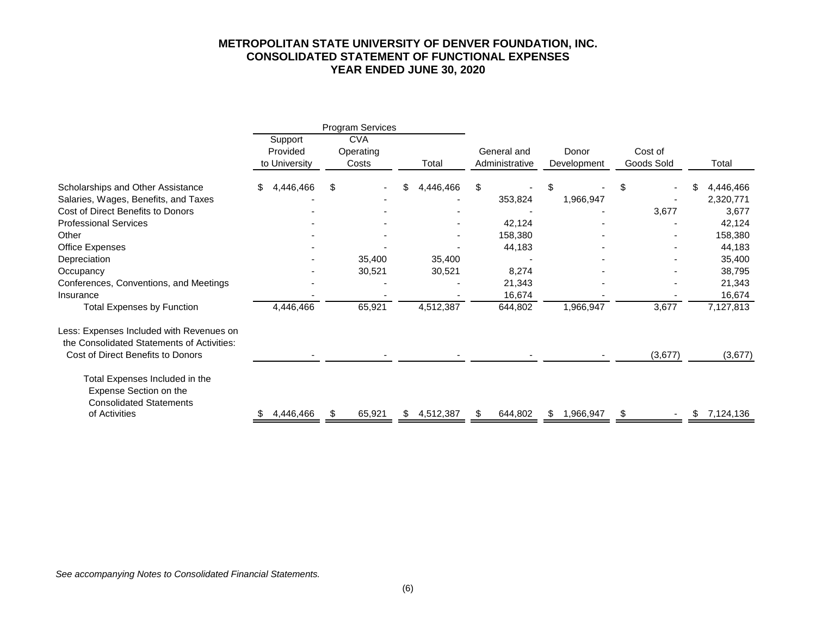#### **METROPOLITAN STATE UNIVERSITY OF DENVER FOUNDATION, INC. CONSOLIDATED STATEMENT OF FUNCTIONAL EXPENSES YEAR ENDED JUNE 30, 2020**

|                                                                                                                             |                                      | Program Services                 |        |     |           |                               |     |                      |  |                       |    |           |
|-----------------------------------------------------------------------------------------------------------------------------|--------------------------------------|----------------------------------|--------|-----|-----------|-------------------------------|-----|----------------------|--|-----------------------|----|-----------|
|                                                                                                                             | Support<br>Provided<br>to University | <b>CVA</b><br>Operating<br>Costs |        |     | Total     | General and<br>Administrative |     | Donor<br>Development |  | Cost of<br>Goods Sold |    | Total     |
|                                                                                                                             |                                      |                                  |        |     |           |                               |     |                      |  |                       |    |           |
| Scholarships and Other Assistance                                                                                           | 4,446,466<br>\$.                     | \$                               |        | \$. | 4,446,466 | \$                            | S   |                      |  |                       |    | 4,446,466 |
| Salaries, Wages, Benefits, and Taxes                                                                                        |                                      |                                  |        |     |           | 353,824                       |     | 1,966,947            |  |                       |    | 2,320,771 |
| Cost of Direct Benefits to Donors                                                                                           |                                      |                                  |        |     |           |                               |     |                      |  | 3,677                 |    | 3,677     |
| <b>Professional Services</b>                                                                                                |                                      |                                  |        |     |           | 42,124                        |     |                      |  |                       |    | 42,124    |
| Other                                                                                                                       |                                      |                                  |        |     |           | 158,380                       |     |                      |  |                       |    | 158,380   |
| <b>Office Expenses</b>                                                                                                      |                                      |                                  |        |     |           | 44,183                        |     |                      |  |                       |    | 44,183    |
| Depreciation                                                                                                                |                                      |                                  | 35,400 |     | 35,400    |                               |     |                      |  |                       |    | 35,400    |
| Occupancy                                                                                                                   |                                      |                                  | 30,521 |     | 30,521    | 8,274                         |     |                      |  |                       |    | 38,795    |
| Conferences, Conventions, and Meetings                                                                                      |                                      |                                  |        |     |           | 21,343                        |     |                      |  |                       |    | 21,343    |
| Insurance                                                                                                                   |                                      |                                  |        |     |           | 16,674                        |     |                      |  |                       |    | 16,674    |
| <b>Total Expenses by Function</b>                                                                                           | 4,446,466                            |                                  | 65,921 |     | 4,512,387 | 644,802                       |     | 1,966,947            |  | 3,677                 |    | 7,127,813 |
| Less: Expenses Included with Revenues on<br>the Consolidated Statements of Activities:<br>Cost of Direct Benefits to Donors |                                      |                                  |        |     |           |                               |     |                      |  | (3,677)               |    | (3,677)   |
| Total Expenses Included in the<br>Expense Section on the<br><b>Consolidated Statements</b><br>of Activities                 | 4,446,466                            |                                  | 65,921 | \$  | 4,512,387 | 644,802                       | \$. | 1,966,947            |  |                       | \$ | 7,124,136 |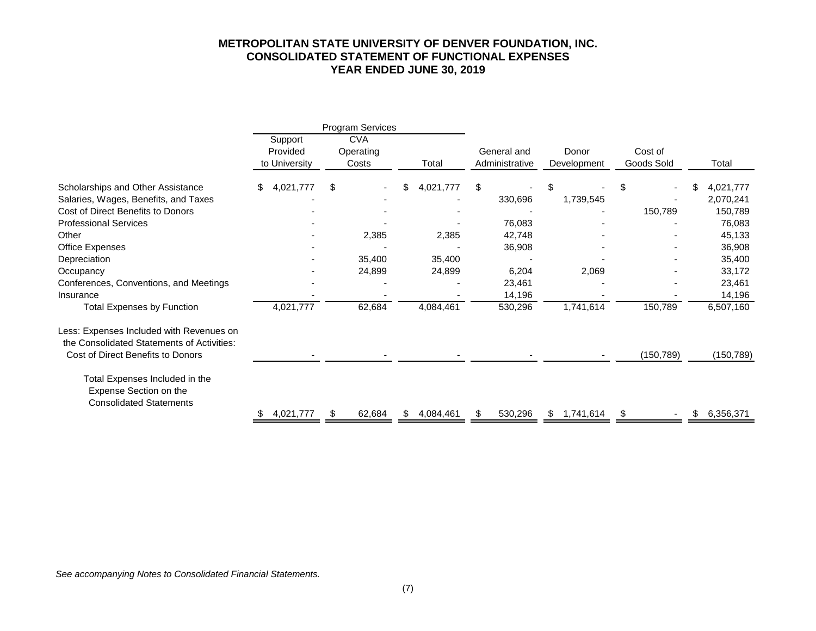#### **METROPOLITAN STATE UNIVERSITY OF DENVER FOUNDATION, INC. CONSOLIDATED STATEMENT OF FUNCTIONAL EXPENSES YEAR ENDED JUNE 30, 2019**

|                                                                                            |                                      | Program Services                 |                 |                                                       |         |                       |           |            |                 |
|--------------------------------------------------------------------------------------------|--------------------------------------|----------------------------------|-----------------|-------------------------------------------------------|---------|-----------------------|-----------|------------|-----------------|
|                                                                                            | Support<br>Provided<br>to University | <b>CVA</b><br>Operating<br>Costs | Total           | General and<br>Donor<br>Administrative<br>Development |         | Cost of<br>Goods Sold | Total     |            |                 |
| Scholarships and Other Assistance                                                          | \$<br>4,021,777                      | \$                               | \$<br>4,021,777 | \$                                                    |         | \$                    |           | \$         | \$<br>4,021,777 |
| Salaries, Wages, Benefits, and Taxes                                                       |                                      |                                  |                 |                                                       | 330,696 |                       | 1,739,545 |            | 2,070,241       |
| Cost of Direct Benefits to Donors                                                          |                                      |                                  |                 |                                                       |         |                       |           | 150,789    | 150,789         |
| <b>Professional Services</b>                                                               |                                      |                                  |                 |                                                       | 76,083  |                       |           |            | 76,083          |
| Other                                                                                      |                                      | 2,385                            | 2,385           |                                                       | 42,748  |                       |           |            | 45,133          |
| <b>Office Expenses</b>                                                                     |                                      |                                  |                 |                                                       | 36,908  |                       |           |            | 36,908          |
| Depreciation                                                                               |                                      | 35,400                           | 35,400          |                                                       |         |                       |           |            | 35,400          |
| Occupancy                                                                                  |                                      | 24,899                           | 24,899          |                                                       | 6,204   |                       | 2,069     |            | 33,172          |
| Conferences, Conventions, and Meetings                                                     |                                      |                                  |                 |                                                       | 23,461  |                       |           |            | 23,461          |
| Insurance                                                                                  |                                      |                                  |                 |                                                       | 14,196  |                       |           |            | 14,196          |
| <b>Total Expenses by Function</b>                                                          | 4,021,777                            | 62,684                           | 4,084,461       |                                                       | 530,296 |                       | 1,741,614 | 150,789    | 6,507,160       |
| Less: Expenses Included with Revenues on<br>the Consolidated Statements of Activities:     |                                      |                                  |                 |                                                       |         |                       |           |            |                 |
| Cost of Direct Benefits to Donors                                                          |                                      |                                  |                 |                                                       |         |                       |           | (150, 789) | (150, 789)      |
| Total Expenses Included in the<br>Expense Section on the<br><b>Consolidated Statements</b> |                                      |                                  |                 |                                                       |         |                       |           |            |                 |
|                                                                                            | 4,021,777                            | 62,684                           | \$<br>4,084,461 |                                                       | 530,296 | $\mathfrak s$         | 1,741,614 |            | \$<br>6,356,371 |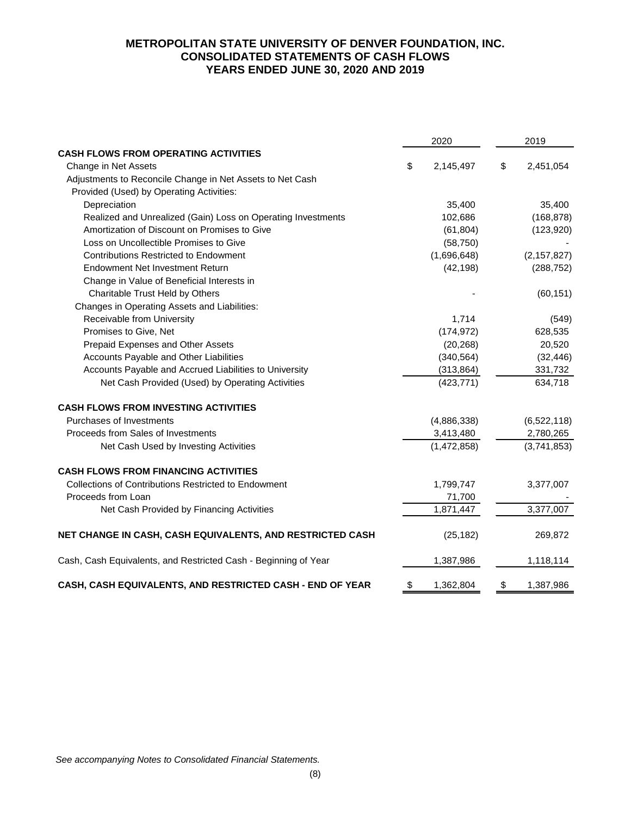# **METROPOLITAN STATE UNIVERSITY OF DENVER FOUNDATION, INC. CONSOLIDATED STATEMENTS OF CASH FLOWS YEARS ENDED JUNE 30, 2020 AND 2019**

|                                                                 | 2020            | 2019            |
|-----------------------------------------------------------------|-----------------|-----------------|
| <b>CASH FLOWS FROM OPERATING ACTIVITIES</b>                     |                 |                 |
| Change in Net Assets                                            | \$<br>2,145,497 | \$<br>2,451,054 |
| Adjustments to Reconcile Change in Net Assets to Net Cash       |                 |                 |
| Provided (Used) by Operating Activities:                        |                 |                 |
| Depreciation                                                    | 35,400          | 35,400          |
| Realized and Unrealized (Gain) Loss on Operating Investments    | 102,686         | (168, 878)      |
| Amortization of Discount on Promises to Give                    | (61, 804)       | (123, 920)      |
| Loss on Uncollectible Promises to Give                          | (58, 750)       |                 |
| <b>Contributions Restricted to Endowment</b>                    | (1,696,648)     | (2, 157, 827)   |
| Endowment Net Investment Return                                 | (42, 198)       | (288, 752)      |
| Change in Value of Beneficial Interests in                      |                 |                 |
| Charitable Trust Held by Others                                 |                 | (60, 151)       |
| Changes in Operating Assets and Liabilities:                    |                 |                 |
| Receivable from University                                      | 1,714           | (549)           |
| Promises to Give, Net                                           | (174, 972)      | 628,535         |
| Prepaid Expenses and Other Assets                               | (20, 268)       | 20,520          |
| Accounts Payable and Other Liabilities                          | (340, 564)      | (32, 446)       |
| Accounts Payable and Accrued Liabilities to University          | (313, 864)      | 331,732         |
| Net Cash Provided (Used) by Operating Activities                | (423, 771)      | 634,718         |
| <b>CASH FLOWS FROM INVESTING ACTIVITIES</b>                     |                 |                 |
| Purchases of Investments                                        | (4,886,338)     | (6,522,118)     |
| Proceeds from Sales of Investments                              | 3,413,480       | 2,780,265       |
| Net Cash Used by Investing Activities                           | (1,472,858)     | (3,741,853)     |
| <b>CASH FLOWS FROM FINANCING ACTIVITIES</b>                     |                 |                 |
| <b>Collections of Contributions Restricted to Endowment</b>     | 1,799,747       | 3,377,007       |
| Proceeds from Loan                                              | 71,700          |                 |
| Net Cash Provided by Financing Activities                       | 1,871,447       | 3,377,007       |
| NET CHANGE IN CASH, CASH EQUIVALENTS, AND RESTRICTED CASH       | (25, 182)       | 269,872         |
| Cash, Cash Equivalents, and Restricted Cash - Beginning of Year | 1,387,986       | 1,118,114       |
| CASH, CASH EQUIVALENTS, AND RESTRICTED CASH - END OF YEAR       | \$<br>1,362,804 | \$<br>1,387,986 |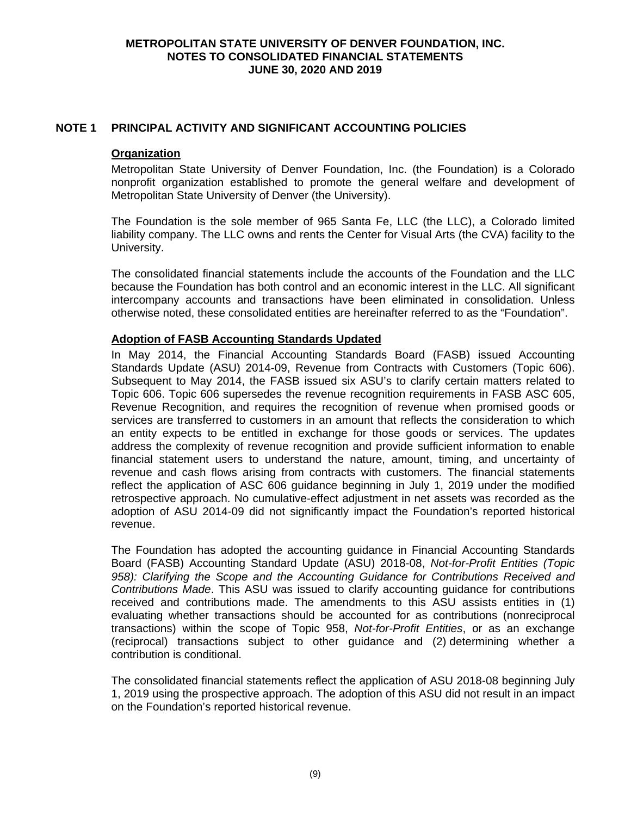## **NOTE 1 PRINCIPAL ACTIVITY AND SIGNIFICANT ACCOUNTING POLICIES**

#### **Organization**

Metropolitan State University of Denver Foundation, Inc. (the Foundation) is a Colorado nonprofit organization established to promote the general welfare and development of Metropolitan State University of Denver (the University).

The Foundation is the sole member of 965 Santa Fe, LLC (the LLC), a Colorado limited liability company. The LLC owns and rents the Center for Visual Arts (the CVA) facility to the University.

The consolidated financial statements include the accounts of the Foundation and the LLC because the Foundation has both control and an economic interest in the LLC. All significant intercompany accounts and transactions have been eliminated in consolidation. Unless otherwise noted, these consolidated entities are hereinafter referred to as the "Foundation".

## **Adoption of FASB Accounting Standards Updated**

In May 2014, the Financial Accounting Standards Board (FASB) issued Accounting Standards Update (ASU) 2014-09, Revenue from Contracts with Customers (Topic 606). Subsequent to May 2014, the FASB issued six ASU's to clarify certain matters related to Topic 606. Topic 606 supersedes the revenue recognition requirements in FASB ASC 605, Revenue Recognition, and requires the recognition of revenue when promised goods or services are transferred to customers in an amount that reflects the consideration to which an entity expects to be entitled in exchange for those goods or services. The updates address the complexity of revenue recognition and provide sufficient information to enable financial statement users to understand the nature, amount, timing, and uncertainty of revenue and cash flows arising from contracts with customers. The financial statements reflect the application of ASC 606 guidance beginning in July 1, 2019 under the modified retrospective approach. No cumulative-effect adjustment in net assets was recorded as the adoption of ASU 2014-09 did not significantly impact the Foundation's reported historical revenue.

The Foundation has adopted the accounting guidance in Financial Accounting Standards Board (FASB) Accounting Standard Update (ASU) 2018-08, *Not-for-Profit Entities (Topic 958): Clarifying the Scope and the Accounting Guidance for Contributions Received and Contributions Made*. This ASU was issued to clarify accounting guidance for contributions received and contributions made. The amendments to this ASU assists entities in (1) evaluating whether transactions should be accounted for as contributions (nonreciprocal transactions) within the scope of Topic 958, *Not-for-Profit Entities*, or as an exchange (reciprocal) transactions subject to other guidance and (2) determining whether a contribution is conditional.

The consolidated financial statements reflect the application of ASU 2018-08 beginning July 1, 2019 using the prospective approach. The adoption of this ASU did not result in an impact on the Foundation's reported historical revenue.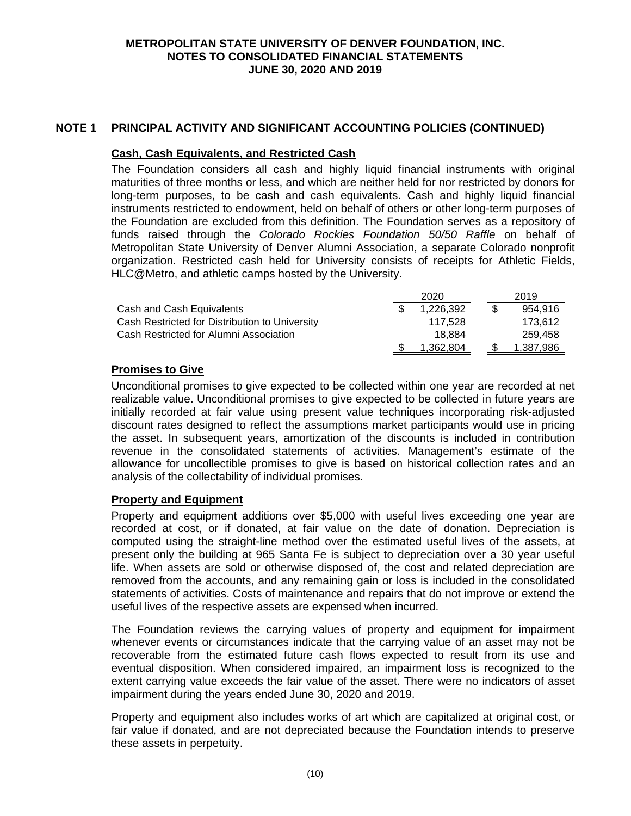## **NOTE 1 PRINCIPAL ACTIVITY AND SIGNIFICANT ACCOUNTING POLICIES (CONTINUED)**

#### **Cash, Cash Equivalents, and Restricted Cash**

The Foundation considers all cash and highly liquid financial instruments with original maturities of three months or less, and which are neither held for nor restricted by donors for long-term purposes, to be cash and cash equivalents. Cash and highly liquid financial instruments restricted to endowment, held on behalf of others or other long-term purposes of the Foundation are excluded from this definition. The Foundation serves as a repository of funds raised through the *Colorado Rockies Foundation 50/50 Raffle* on behalf of Metropolitan State University of Denver Alumni Association, a separate Colorado nonprofit organization. Restricted cash held for University consists of receipts for Athletic Fields, HLC@Metro, and athletic camps hosted by the University.

|                                                | 2020      |  | 2019      |
|------------------------------------------------|-----------|--|-----------|
| Cash and Cash Equivalents                      | 1.226.392 |  | 954.916   |
| Cash Restricted for Distribution to University | 117.528   |  | 173.612   |
| Cash Restricted for Alumni Association         | 18.884    |  | 259,458   |
|                                                | 362.804.ا |  | 1.387.986 |

## **Promises to Give**

Unconditional promises to give expected to be collected within one year are recorded at net realizable value. Unconditional promises to give expected to be collected in future years are initially recorded at fair value using present value techniques incorporating risk-adjusted discount rates designed to reflect the assumptions market participants would use in pricing the asset. In subsequent years, amortization of the discounts is included in contribution revenue in the consolidated statements of activities. Management's estimate of the allowance for uncollectible promises to give is based on historical collection rates and an analysis of the collectability of individual promises.

# **Property and Equipment**

Property and equipment additions over \$5,000 with useful lives exceeding one year are recorded at cost, or if donated, at fair value on the date of donation. Depreciation is computed using the straight-line method over the estimated useful lives of the assets, at present only the building at 965 Santa Fe is subject to depreciation over a 30 year useful life. When assets are sold or otherwise disposed of, the cost and related depreciation are removed from the accounts, and any remaining gain or loss is included in the consolidated statements of activities. Costs of maintenance and repairs that do not improve or extend the useful lives of the respective assets are expensed when incurred.

The Foundation reviews the carrying values of property and equipment for impairment whenever events or circumstances indicate that the carrying value of an asset may not be recoverable from the estimated future cash flows expected to result from its use and eventual disposition. When considered impaired, an impairment loss is recognized to the extent carrying value exceeds the fair value of the asset. There were no indicators of asset impairment during the years ended June 30, 2020 and 2019.

Property and equipment also includes works of art which are capitalized at original cost, or fair value if donated, and are not depreciated because the Foundation intends to preserve these assets in perpetuity.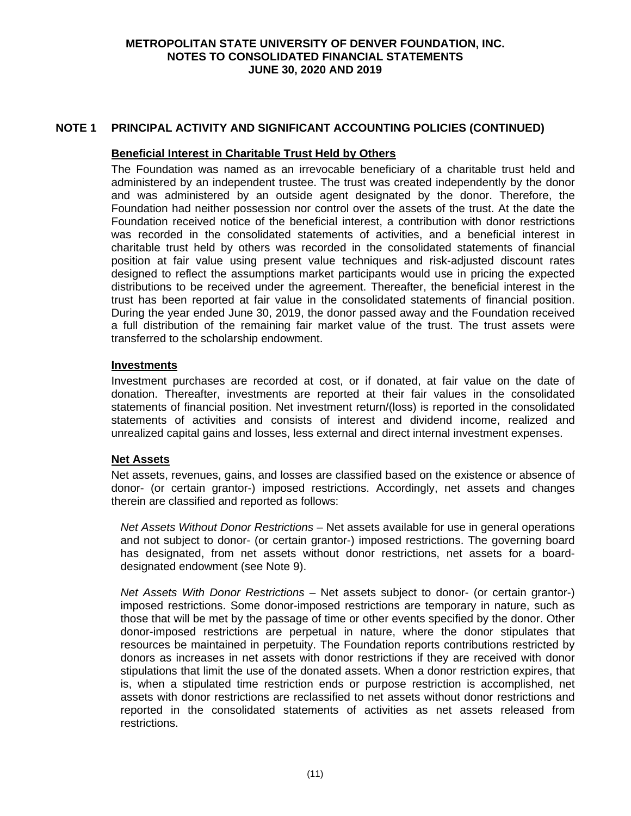# **NOTE 1 PRINCIPAL ACTIVITY AND SIGNIFICANT ACCOUNTING POLICIES (CONTINUED)**

#### **Beneficial Interest in Charitable Trust Held by Others**

The Foundation was named as an irrevocable beneficiary of a charitable trust held and administered by an independent trustee. The trust was created independently by the donor and was administered by an outside agent designated by the donor. Therefore, the Foundation had neither possession nor control over the assets of the trust. At the date the Foundation received notice of the beneficial interest, a contribution with donor restrictions was recorded in the consolidated statements of activities, and a beneficial interest in charitable trust held by others was recorded in the consolidated statements of financial position at fair value using present value techniques and risk-adjusted discount rates designed to reflect the assumptions market participants would use in pricing the expected distributions to be received under the agreement. Thereafter, the beneficial interest in the trust has been reported at fair value in the consolidated statements of financial position. During the year ended June 30, 2019, the donor passed away and the Foundation received a full distribution of the remaining fair market value of the trust. The trust assets were transferred to the scholarship endowment.

#### **Investments**

Investment purchases are recorded at cost, or if donated, at fair value on the date of donation. Thereafter, investments are reported at their fair values in the consolidated statements of financial position. Net investment return/(loss) is reported in the consolidated statements of activities and consists of interest and dividend income, realized and unrealized capital gains and losses, less external and direct internal investment expenses.

#### **Net Assets**

Net assets, revenues, gains, and losses are classified based on the existence or absence of donor- (or certain grantor-) imposed restrictions. Accordingly, net assets and changes therein are classified and reported as follows:

*Net Assets Without Donor Restrictions* – Net assets available for use in general operations and not subject to donor- (or certain grantor-) imposed restrictions. The governing board has designated, from net assets without donor restrictions, net assets for a boarddesignated endowment (see Note 9).

*Net Assets With Donor Restrictions* – Net assets subject to donor- (or certain grantor-) imposed restrictions. Some donor-imposed restrictions are temporary in nature, such as those that will be met by the passage of time or other events specified by the donor. Other donor-imposed restrictions are perpetual in nature, where the donor stipulates that resources be maintained in perpetuity. The Foundation reports contributions restricted by donors as increases in net assets with donor restrictions if they are received with donor stipulations that limit the use of the donated assets. When a donor restriction expires, that is, when a stipulated time restriction ends or purpose restriction is accomplished, net assets with donor restrictions are reclassified to net assets without donor restrictions and reported in the consolidated statements of activities as net assets released from restrictions.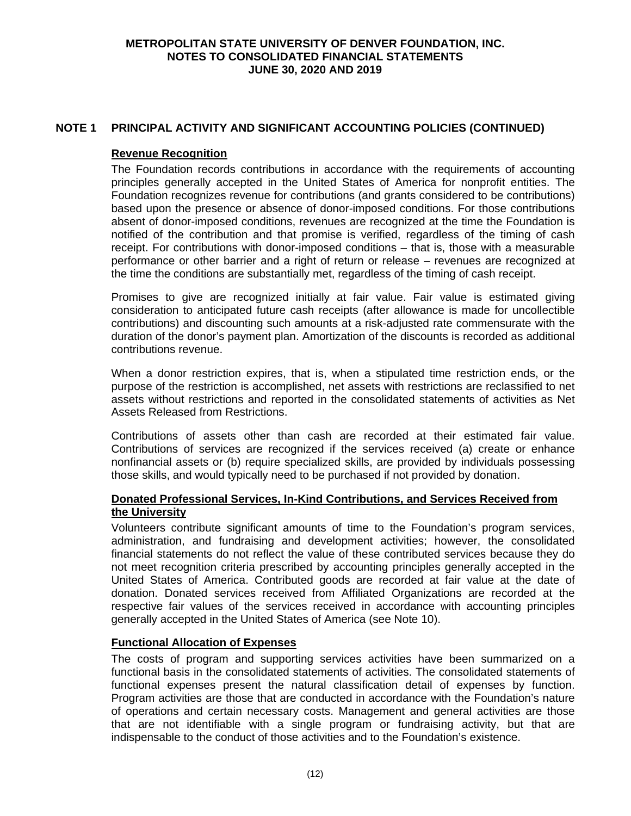# **NOTE 1 PRINCIPAL ACTIVITY AND SIGNIFICANT ACCOUNTING POLICIES (CONTINUED)**

#### **Revenue Recognition**

The Foundation records contributions in accordance with the requirements of accounting principles generally accepted in the United States of America for nonprofit entities. The Foundation recognizes revenue for contributions (and grants considered to be contributions) based upon the presence or absence of donor-imposed conditions. For those contributions absent of donor-imposed conditions, revenues are recognized at the time the Foundation is notified of the contribution and that promise is verified, regardless of the timing of cash receipt. For contributions with donor-imposed conditions – that is, those with a measurable performance or other barrier and a right of return or release – revenues are recognized at the time the conditions are substantially met, regardless of the timing of cash receipt.

Promises to give are recognized initially at fair value. Fair value is estimated giving consideration to anticipated future cash receipts (after allowance is made for uncollectible contributions) and discounting such amounts at a risk-adjusted rate commensurate with the duration of the donor's payment plan. Amortization of the discounts is recorded as additional contributions revenue.

When a donor restriction expires, that is, when a stipulated time restriction ends, or the purpose of the restriction is accomplished, net assets with restrictions are reclassified to net assets without restrictions and reported in the consolidated statements of activities as Net Assets Released from Restrictions.

Contributions of assets other than cash are recorded at their estimated fair value. Contributions of services are recognized if the services received (a) create or enhance nonfinancial assets or (b) require specialized skills, are provided by individuals possessing those skills, and would typically need to be purchased if not provided by donation.

## **Donated Professional Services, In-Kind Contributions, and Services Received from the University**

Volunteers contribute significant amounts of time to the Foundation's program services, administration, and fundraising and development activities; however, the consolidated financial statements do not reflect the value of these contributed services because they do not meet recognition criteria prescribed by accounting principles generally accepted in the United States of America. Contributed goods are recorded at fair value at the date of donation. Donated services received from Affiliated Organizations are recorded at the respective fair values of the services received in accordance with accounting principles generally accepted in the United States of America (see Note 10).

#### **Functional Allocation of Expenses**

The costs of program and supporting services activities have been summarized on a functional basis in the consolidated statements of activities. The consolidated statements of functional expenses present the natural classification detail of expenses by function. Program activities are those that are conducted in accordance with the Foundation's nature of operations and certain necessary costs. Management and general activities are those that are not identifiable with a single program or fundraising activity, but that are indispensable to the conduct of those activities and to the Foundation's existence.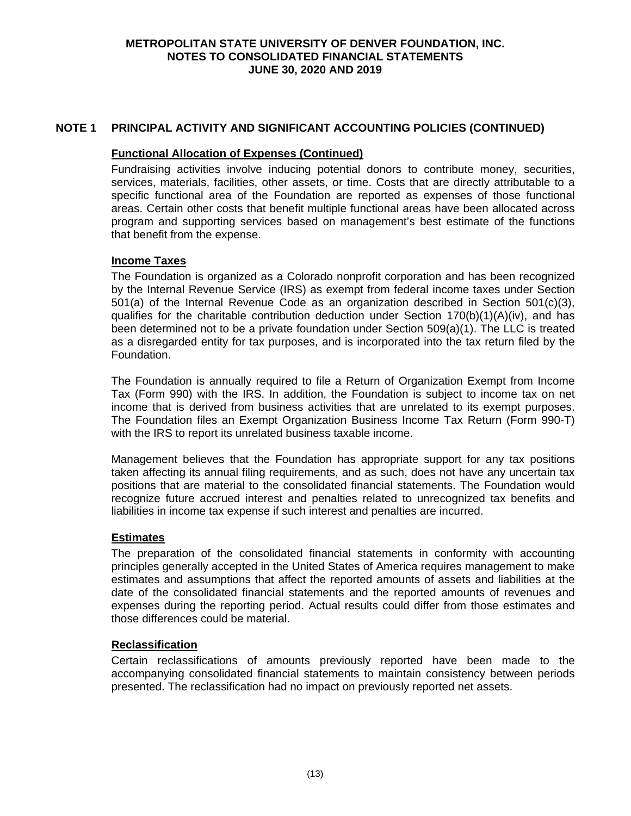# **NOTE 1 PRINCIPAL ACTIVITY AND SIGNIFICANT ACCOUNTING POLICIES (CONTINUED)**

#### **Functional Allocation of Expenses (Continued)**

Fundraising activities involve inducing potential donors to contribute money, securities, services, materials, facilities, other assets, or time. Costs that are directly attributable to a specific functional area of the Foundation are reported as expenses of those functional areas. Certain other costs that benefit multiple functional areas have been allocated across program and supporting services based on management's best estimate of the functions that benefit from the expense.

## **Income Taxes**

The Foundation is organized as a Colorado nonprofit corporation and has been recognized by the Internal Revenue Service (IRS) as exempt from federal income taxes under Section 501(a) of the Internal Revenue Code as an organization described in Section 501(c)(3), qualifies for the charitable contribution deduction under Section  $170(b)(1)(A)(iv)$ , and has been determined not to be a private foundation under Section 509(a)(1). The LLC is treated as a disregarded entity for tax purposes, and is incorporated into the tax return filed by the Foundation.

The Foundation is annually required to file a Return of Organization Exempt from Income Tax (Form 990) with the IRS. In addition, the Foundation is subject to income tax on net income that is derived from business activities that are unrelated to its exempt purposes. The Foundation files an Exempt Organization Business Income Tax Return (Form 990-T) with the IRS to report its unrelated business taxable income.

Management believes that the Foundation has appropriate support for any tax positions taken affecting its annual filing requirements, and as such, does not have any uncertain tax positions that are material to the consolidated financial statements. The Foundation would recognize future accrued interest and penalties related to unrecognized tax benefits and liabilities in income tax expense if such interest and penalties are incurred.

# **Estimates**

The preparation of the consolidated financial statements in conformity with accounting principles generally accepted in the United States of America requires management to make estimates and assumptions that affect the reported amounts of assets and liabilities at the date of the consolidated financial statements and the reported amounts of revenues and expenses during the reporting period. Actual results could differ from those estimates and those differences could be material.

#### **Reclassification**

Certain reclassifications of amounts previously reported have been made to the accompanying consolidated financial statements to maintain consistency between periods presented. The reclassification had no impact on previously reported net assets.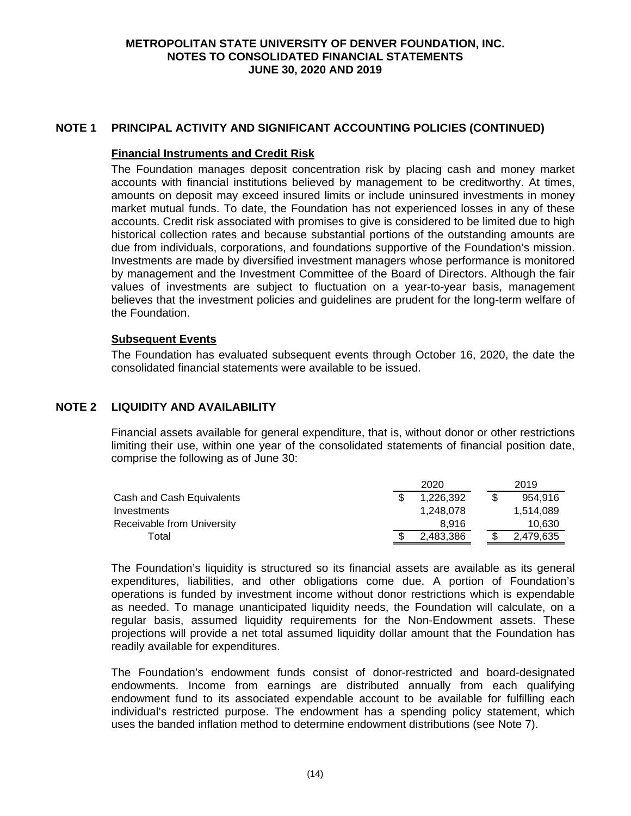## **NOTE 1 PRINCIPAL ACTIVITY AND SIGNIFICANT ACCOUNTING POLICIES (CONTINUED)**

#### **Financial Instruments and Credit Risk**

The Foundation manages deposit concentration risk by placing cash and money market accounts with financial institutions believed by management to be creditworthy. At times, amounts on deposit may exceed insured limits or include uninsured investments in money market mutual funds. To date, the Foundation has not experienced losses in any of these accounts. Credit risk associated with promises to give is considered to be limited due to high historical collection rates and because substantial portions of the outstanding amounts are due from individuals, corporations, and foundations supportive of the Foundation's mission. Investments are made by diversified investment managers whose performance is monitored by management and the Investment Committee of the Board of Directors. Although the fair values of investments are subject to fluctuation on a year-to-year basis, management believes that the investment policies and guidelines are prudent for the long-term welfare of the Foundation.

## **Subsequent Events**

The Foundation has evaluated subsequent events through October 16, 2020, the date the consolidated financial statements were available to be issued.

## **NOTE 2 LIQUIDITY AND AVAILABILITY**

Financial assets available for general expenditure, that is, without donor or other restrictions limiting their use, within one year of the consolidated statements of financial position date, comprise the following as of June 30:

|                            | 2020      |  | 2019      |
|----------------------------|-----------|--|-----------|
| Cash and Cash Equivalents  | 1.226.392 |  | 954.916   |
| Investments                | 1.248.078 |  | 1,514,089 |
| Receivable from University | 8.916     |  | 10,630    |
| Total                      | 2,483,386 |  | 2.479.635 |

The Foundation's liquidity is structured so its financial assets are available as its general expenditures, liabilities, and other obligations come due. A portion of Foundation's operations is funded by investment income without donor restrictions which is expendable as needed. To manage unanticipated liquidity needs, the Foundation will calculate, on a regular basis, assumed liquidity requirements for the Non-Endowment assets. These projections will provide a net total assumed liquidity dollar amount that the Foundation has readily available for expenditures.

The Foundation's endowment funds consist of donor-restricted and board-designated endowments. Income from earnings are distributed annually from each qualifying endowment fund to its associated expendable account to be available for fulfilling each individual's restricted purpose. The endowment has a spending policy statement, which uses the banded inflation method to determine endowment distributions (see Note 7).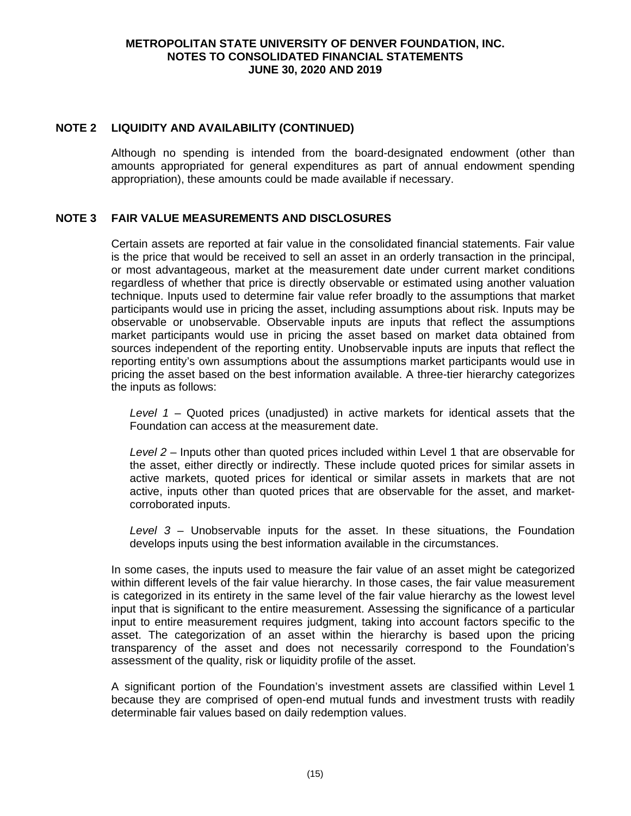## **NOTE 2 LIQUIDITY AND AVAILABILITY (CONTINUED)**

Although no spending is intended from the board-designated endowment (other than amounts appropriated for general expenditures as part of annual endowment spending appropriation), these amounts could be made available if necessary.

## **NOTE 3 FAIR VALUE MEASUREMENTS AND DISCLOSURES**

Certain assets are reported at fair value in the consolidated financial statements. Fair value is the price that would be received to sell an asset in an orderly transaction in the principal, or most advantageous, market at the measurement date under current market conditions regardless of whether that price is directly observable or estimated using another valuation technique. Inputs used to determine fair value refer broadly to the assumptions that market participants would use in pricing the asset, including assumptions about risk. Inputs may be observable or unobservable. Observable inputs are inputs that reflect the assumptions market participants would use in pricing the asset based on market data obtained from sources independent of the reporting entity. Unobservable inputs are inputs that reflect the reporting entity's own assumptions about the assumptions market participants would use in pricing the asset based on the best information available. A three-tier hierarchy categorizes the inputs as follows:

*Level 1* – Quoted prices (unadjusted) in active markets for identical assets that the Foundation can access at the measurement date.

*Level 2* – Inputs other than quoted prices included within Level 1 that are observable for the asset, either directly or indirectly. These include quoted prices for similar assets in active markets, quoted prices for identical or similar assets in markets that are not active, inputs other than quoted prices that are observable for the asset, and marketcorroborated inputs.

*Level 3* – Unobservable inputs for the asset. In these situations, the Foundation develops inputs using the best information available in the circumstances.

In some cases, the inputs used to measure the fair value of an asset might be categorized within different levels of the fair value hierarchy. In those cases, the fair value measurement is categorized in its entirety in the same level of the fair value hierarchy as the lowest level input that is significant to the entire measurement. Assessing the significance of a particular input to entire measurement requires judgment, taking into account factors specific to the asset. The categorization of an asset within the hierarchy is based upon the pricing transparency of the asset and does not necessarily correspond to the Foundation's assessment of the quality, risk or liquidity profile of the asset.

A significant portion of the Foundation's investment assets are classified within Level 1 because they are comprised of open-end mutual funds and investment trusts with readily determinable fair values based on daily redemption values.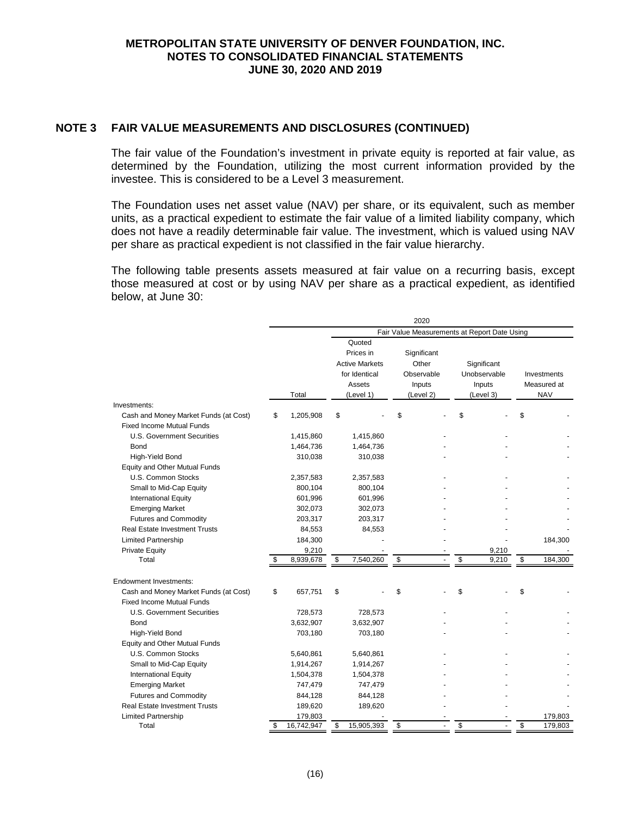#### **NOTE 3 FAIR VALUE MEASUREMENTS AND DISCLOSURES (CONTINUED)**

The fair value of the Foundation's investment in private equity is reported at fair value, as determined by the Foundation, utilizing the most current information provided by the investee. This is considered to be a Level 3 measurement.

The Foundation uses net asset value (NAV) per share, or its equivalent, such as member units, as a practical expedient to estimate the fair value of a limited liability company, which does not have a readily determinable fair value. The investment, which is valued using NAV per share as practical expedient is not classified in the fair value hierarchy.

The following table presents assets measured at fair value on a recurring basis, except those measured at cost or by using NAV per share as a practical expedient, as identified below, at June 30:

|                                       |                  |                    |                       |                         | 2020        |    |                                              |              |             |
|---------------------------------------|------------------|--------------------|-----------------------|-------------------------|-------------|----|----------------------------------------------|--------------|-------------|
|                                       |                  |                    |                       |                         |             |    | Fair Value Measurements at Report Date Using |              |             |
|                                       |                  |                    | Quoted                |                         |             |    |                                              |              |             |
|                                       |                  |                    | Prices in             |                         | Significant |    |                                              |              |             |
|                                       |                  |                    | <b>Active Markets</b> |                         | Other       |    | Significant                                  |              |             |
|                                       |                  |                    | for Identical         |                         | Observable  |    | Unobservable                                 |              | Investments |
|                                       |                  |                    | Assets                |                         | Inputs      |    | Inputs                                       |              | Measured at |
|                                       | Total            |                    | (Level 1)             |                         | (Level 2)   |    | (Level 3)                                    |              | <b>NAV</b>  |
| Investments:                          |                  |                    |                       |                         |             |    |                                              |              |             |
| Cash and Money Market Funds (at Cost) | \$<br>1,205,908  | \$                 |                       | \$                      |             | \$ |                                              | \$           |             |
| <b>Fixed Income Mutual Funds</b>      |                  |                    |                       |                         |             |    |                                              |              |             |
| U.S. Government Securities            | 1,415,860        |                    | 1,415,860             |                         |             |    |                                              |              |             |
| Bond                                  | 1,464,736        |                    | 1,464,736             |                         |             |    |                                              |              |             |
| High-Yield Bond                       | 310,038          |                    | 310,038               |                         |             |    |                                              |              |             |
| Equity and Other Mutual Funds         |                  |                    |                       |                         |             |    |                                              |              |             |
| U.S. Common Stocks                    | 2,357,583        |                    | 2,357,583             |                         |             |    |                                              |              |             |
| Small to Mid-Cap Equity               | 800,104          |                    | 800,104               |                         |             |    |                                              |              |             |
| <b>International Equity</b>           | 601,996          |                    | 601,996               |                         |             |    |                                              |              |             |
| <b>Emerging Market</b>                | 302,073          |                    | 302,073               |                         |             |    |                                              |              |             |
| <b>Futures and Commodity</b>          | 203,317          |                    | 203,317               |                         |             |    |                                              |              |             |
| <b>Real Estate Investment Trusts</b>  | 84,553           |                    | 84,553                |                         |             |    |                                              |              |             |
| <b>Limited Partnership</b>            | 184,300          |                    |                       |                         |             |    |                                              |              | 184,300     |
| <b>Private Equity</b>                 | 9,210            |                    |                       |                         |             |    | 9,210                                        |              |             |
| Total                                 | 8,939,678        | $\mathbf{\hat{s}}$ | 7,540,260             | $\overline{\mathbf{3}}$ |             | \$ | 9,210                                        | $\mathbf{s}$ | 184,300     |
|                                       |                  |                    |                       |                         |             |    |                                              |              |             |
| <b>Endowment Investments:</b>         |                  |                    |                       |                         |             |    |                                              |              |             |
| Cash and Money Market Funds (at Cost) | \$<br>657,751    | \$                 |                       | \$                      |             | \$ |                                              | \$           |             |
| <b>Fixed Income Mutual Funds</b>      |                  |                    |                       |                         |             |    |                                              |              |             |
| U.S. Government Securities            | 728,573          |                    | 728,573               |                         |             |    |                                              |              |             |
| Bond                                  | 3,632,907        |                    | 3,632,907             |                         |             |    |                                              |              |             |
| High-Yield Bond                       | 703,180          |                    | 703,180               |                         |             |    |                                              |              |             |
| Equity and Other Mutual Funds         |                  |                    |                       |                         |             |    |                                              |              |             |
| U.S. Common Stocks                    | 5,640,861        |                    | 5,640,861             |                         |             |    |                                              |              |             |
| Small to Mid-Cap Equity               | 1,914,267        |                    | 1,914,267             |                         |             |    |                                              |              |             |
| <b>International Equity</b>           | 1,504,378        |                    | 1,504,378             |                         |             |    |                                              |              |             |
| <b>Emerging Market</b>                | 747,479          |                    | 747,479               |                         |             |    |                                              |              |             |
| <b>Futures and Commodity</b>          | 844,128          |                    | 844,128               |                         |             |    |                                              |              |             |
| <b>Real Estate Investment Trusts</b>  | 189,620          |                    | 189,620               |                         |             |    |                                              |              |             |
| <b>Limited Partnership</b>            | 179,803          |                    |                       |                         |             |    |                                              |              | 179,803     |
| Total                                 | \$<br>16,742,947 | \$                 | 15,905,393            | \$                      |             | \$ |                                              | \$           | 179,803     |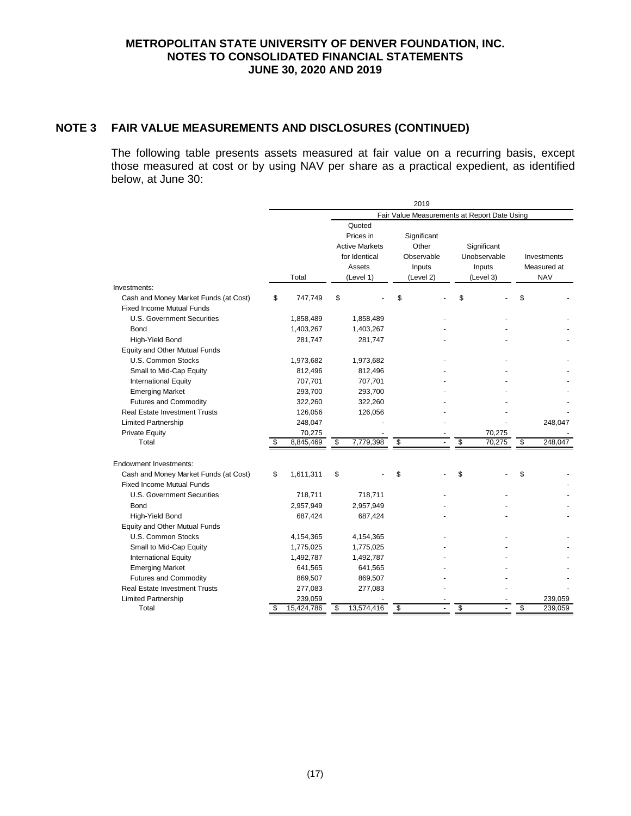# **NOTE 3 FAIR VALUE MEASUREMENTS AND DISCLOSURES (CONTINUED)**

The following table presents assets measured at fair value on a recurring basis, except those measured at cost or by using NAV per share as a practical expedient, as identified below, at June 30:

|                                                                           |    |            |                                                                                      | 2019                                                      |                                                    |                                          |
|---------------------------------------------------------------------------|----|------------|--------------------------------------------------------------------------------------|-----------------------------------------------------------|----------------------------------------------------|------------------------------------------|
|                                                                           |    |            |                                                                                      |                                                           | Fair Value Measurements at Report Date Using       |                                          |
|                                                                           |    | Total      | Quoted<br>Prices in<br><b>Active Markets</b><br>for Identical<br>Assets<br>(Level 1) | Significant<br>Other<br>Observable<br>Inputs<br>(Level 2) | Significant<br>Unobservable<br>Inputs<br>(Level 3) | Investments<br>Measured at<br><b>NAV</b> |
| Investments:                                                              |    |            |                                                                                      |                                                           |                                                    |                                          |
| Cash and Money Market Funds (at Cost)<br><b>Fixed Income Mutual Funds</b> | \$ | 747,749    | \$                                                                                   | \$                                                        | \$                                                 | \$                                       |
| U.S. Government Securities                                                |    | 1,858,489  | 1,858,489                                                                            |                                                           |                                                    |                                          |
| Bond                                                                      |    | 1,403,267  | 1,403,267                                                                            |                                                           |                                                    |                                          |
| High-Yield Bond                                                           |    | 281,747    | 281,747                                                                              |                                                           |                                                    |                                          |
| Equity and Other Mutual Funds                                             |    |            |                                                                                      |                                                           |                                                    |                                          |
| U.S. Common Stocks                                                        |    | 1,973,682  | 1,973,682                                                                            |                                                           |                                                    |                                          |
| Small to Mid-Cap Equity                                                   |    | 812,496    | 812,496                                                                              |                                                           |                                                    |                                          |
| <b>International Equity</b>                                               |    | 707,701    | 707,701                                                                              |                                                           |                                                    |                                          |
| <b>Emerging Market</b>                                                    |    | 293,700    | 293,700                                                                              |                                                           |                                                    |                                          |
| <b>Futures and Commodity</b>                                              |    | 322,260    | 322,260                                                                              |                                                           |                                                    |                                          |
| <b>Real Estate Investment Trusts</b>                                      |    | 126,056    | 126,056                                                                              |                                                           |                                                    |                                          |
| <b>Limited Partnership</b>                                                |    | 248,047    |                                                                                      |                                                           |                                                    | 248,047                                  |
| <b>Private Equity</b>                                                     |    | 70,275     |                                                                                      |                                                           | 70,275                                             |                                          |
| Total                                                                     |    | 8,845,469  | \$<br>7,779,398                                                                      | \$                                                        | \$<br>70,275                                       | \$<br>248,047                            |
| <b>Endowment Investments:</b>                                             |    |            |                                                                                      |                                                           |                                                    |                                          |
| Cash and Money Market Funds (at Cost)                                     | \$ | 1,611,311  | \$                                                                                   | \$                                                        | \$                                                 | \$                                       |
| <b>Fixed Income Mutual Funds</b>                                          |    |            |                                                                                      |                                                           |                                                    |                                          |
| U.S. Government Securities                                                |    | 718,711    | 718,711                                                                              |                                                           |                                                    |                                          |
| Bond                                                                      |    | 2,957,949  | 2,957,949                                                                            |                                                           |                                                    |                                          |
| High-Yield Bond                                                           |    | 687,424    | 687,424                                                                              |                                                           |                                                    |                                          |
| <b>Equity and Other Mutual Funds</b>                                      |    |            |                                                                                      |                                                           |                                                    |                                          |
| U.S. Common Stocks                                                        |    | 4,154,365  | 4,154,365                                                                            |                                                           |                                                    |                                          |
| Small to Mid-Cap Equity                                                   |    | 1,775,025  | 1,775,025                                                                            |                                                           |                                                    |                                          |
| International Equity                                                      |    | 1,492,787  | 1,492,787                                                                            |                                                           |                                                    |                                          |
| <b>Emerging Market</b>                                                    |    | 641,565    | 641,565                                                                              |                                                           |                                                    |                                          |
| <b>Futures and Commodity</b>                                              |    | 869,507    | 869,507                                                                              |                                                           |                                                    |                                          |
| <b>Real Estate Investment Trusts</b>                                      |    | 277,083    | 277,083                                                                              |                                                           |                                                    |                                          |
| <b>Limited Partnership</b>                                                |    | 239,059    |                                                                                      |                                                           |                                                    | 239,059                                  |
| Total                                                                     | S  | 15,424,786 | \$<br>13,574,416                                                                     | \$                                                        | \$                                                 | \$<br>239,059                            |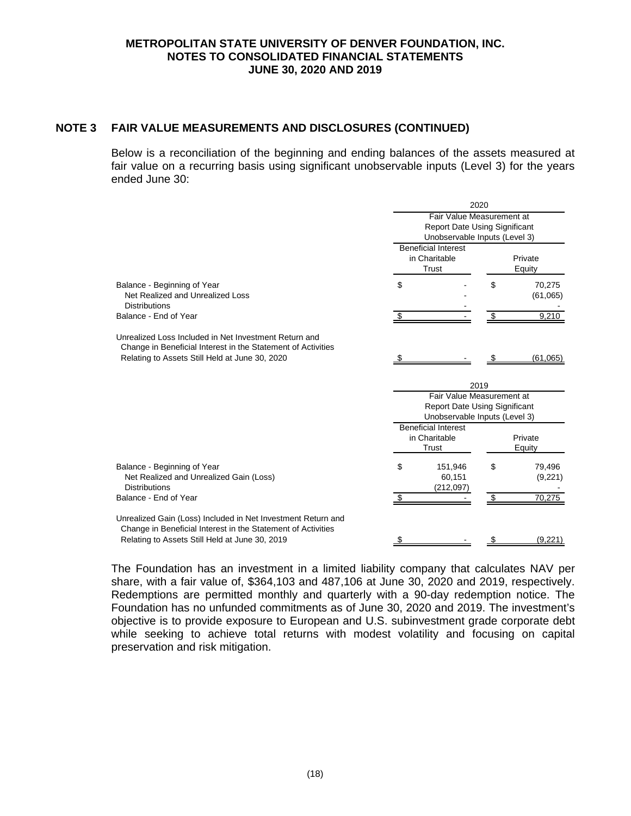# **NOTE 3 FAIR VALUE MEASUREMENTS AND DISCLOSURES (CONTINUED)**

Below is a reconciliation of the beginning and ending balances of the assets measured at fair value on a recurring basis using significant unobservable inputs (Level 3) for the years ended June 30:

|                                                                                                                                                                         | 2020                                                                                               |                                                                                                    |                   |                    |  |  |  |  |  |
|-------------------------------------------------------------------------------------------------------------------------------------------------------------------------|----------------------------------------------------------------------------------------------------|----------------------------------------------------------------------------------------------------|-------------------|--------------------|--|--|--|--|--|
|                                                                                                                                                                         |                                                                                                    | Fair Value Measurement at<br><b>Report Date Using Significant</b><br>Unobservable Inputs (Level 3) |                   |                    |  |  |  |  |  |
|                                                                                                                                                                         |                                                                                                    | <b>Beneficial Interest</b><br>in Charitable<br>Trust                                               | Private<br>Equity |                    |  |  |  |  |  |
| Balance - Beginning of Year<br>Net Realized and Unrealized Loss<br><b>Distributions</b>                                                                                 | \$                                                                                                 |                                                                                                    | \$                | 70,275<br>(61,065) |  |  |  |  |  |
| Balance - End of Year                                                                                                                                                   |                                                                                                    |                                                                                                    |                   | 9,210              |  |  |  |  |  |
| Unrealized Loss Included in Net Investment Return and<br>Change in Beneficial Interest in the Statement of Activities<br>Relating to Assets Still Held at June 30, 2020 |                                                                                                    |                                                                                                    |                   | (61,065)           |  |  |  |  |  |
|                                                                                                                                                                         |                                                                                                    |                                                                                                    | 2019              |                    |  |  |  |  |  |
|                                                                                                                                                                         | Fair Value Measurement at<br><b>Report Date Using Significant</b><br>Unobservable Inputs (Level 3) |                                                                                                    |                   |                    |  |  |  |  |  |
|                                                                                                                                                                         |                                                                                                    | <b>Beneficial Interest</b><br>in Charitable<br>Trust                                               |                   | Private<br>Equity  |  |  |  |  |  |
| Balance - Beginning of Year<br>Net Realized and Unrealized Gain (Loss)<br><b>Distributions</b>                                                                          | \$                                                                                                 | 151,946<br>60,151<br>(212,097)                                                                     | \$                | 79,496<br>(9,221)  |  |  |  |  |  |
| Balance - End of Year                                                                                                                                                   |                                                                                                    |                                                                                                    |                   | 70.275             |  |  |  |  |  |
| Unrealized Gain (Loss) Included in Net Investment Return and<br>Change in Beneficial Interest in the Statement of Activities                                            |                                                                                                    |                                                                                                    |                   |                    |  |  |  |  |  |
| Relating to Assets Still Held at June 30, 2019                                                                                                                          |                                                                                                    |                                                                                                    |                   | (9,221)            |  |  |  |  |  |

The Foundation has an investment in a limited liability company that calculates NAV per share, with a fair value of, \$364,103 and 487,106 at June 30, 2020 and 2019, respectively. Redemptions are permitted monthly and quarterly with a 90-day redemption notice. The Foundation has no unfunded commitments as of June 30, 2020 and 2019. The investment's objective is to provide exposure to European and U.S. subinvestment grade corporate debt while seeking to achieve total returns with modest volatility and focusing on capital preservation and risk mitigation.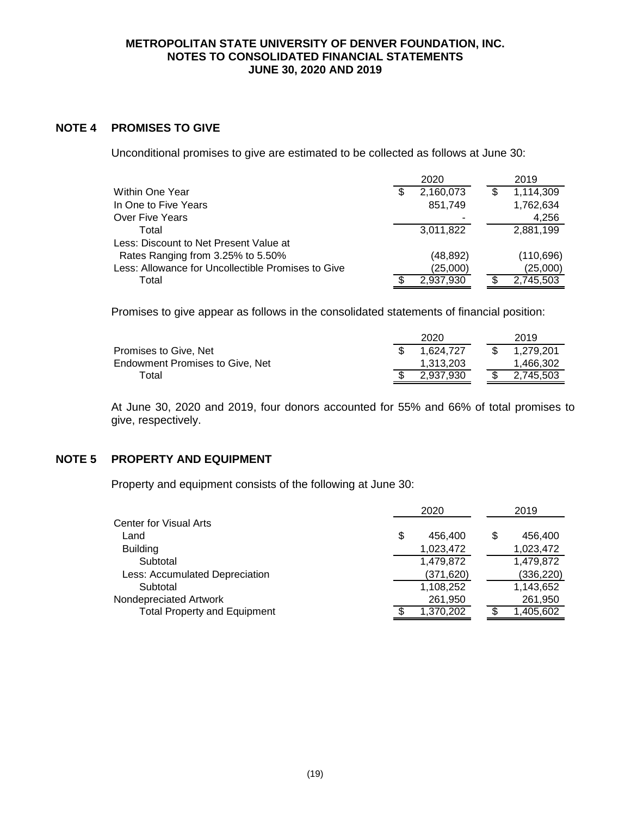#### **NOTE 4 PROMISES TO GIVE**

Unconditional promises to give are estimated to be collected as follows at June 30:

|                                                    |   | 2020      |   | 2019      |
|----------------------------------------------------|---|-----------|---|-----------|
| Within One Year                                    | S | 2,160,073 | S | 1,114,309 |
| In One to Five Years                               |   | 851,749   |   | 1,762,634 |
| Over Five Years                                    |   |           |   | 4,256     |
| Total                                              |   | 3,011,822 |   | 2,881,199 |
| Less: Discount to Net Present Value at             |   |           |   |           |
| Rates Ranging from 3.25% to 5.50%                  |   | (48, 892) |   | (110,696) |
| Less: Allowance for Uncollectible Promises to Give |   | (25,000)  |   | (25,000)  |
| Total                                              |   | 2,937,930 |   | 2,745,503 |

Promises to give appear as follows in the consolidated statements of financial position:

|                                 | 2020      |  | 2019      |
|---------------------------------|-----------|--|-----------|
| Promises to Give, Net           | 1.624.727 |  | 1.279.201 |
| Endowment Promises to Give. Net | 1.313.203 |  | 1.466.302 |
| Total                           | 2.937.930 |  | 2.745.503 |

At June 30, 2020 and 2019, four donors accounted for 55% and 66% of total promises to give, respectively.

## **NOTE 5 PROPERTY AND EQUIPMENT**

Property and equipment consists of the following at June 30:

|                                     | 2020          |   | 2019       |
|-------------------------------------|---------------|---|------------|
| <b>Center for Visual Arts</b>       |               |   |            |
| Land                                | \$<br>456,400 | S | 456,400    |
| <b>Building</b>                     | 1,023,472     |   | 1,023,472  |
| Subtotal                            | 1,479,872     |   | 1,479,872  |
| Less: Accumulated Depreciation      | (371, 620)    |   | (336, 220) |
| Subtotal                            | 1,108,252     |   | 1,143,652  |
| Nondepreciated Artwork              | 261,950       |   | 261,950    |
| <b>Total Property and Equipment</b> | 1,370,202     |   | 1,405,602  |
|                                     |               |   |            |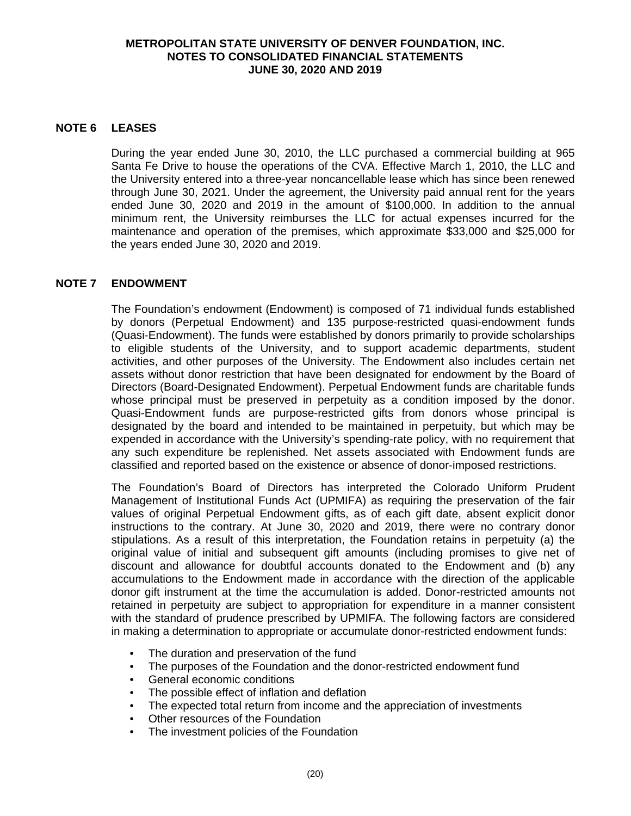## **NOTE 6 LEASES**

During the year ended June 30, 2010, the LLC purchased a commercial building at 965 Santa Fe Drive to house the operations of the CVA. Effective March 1, 2010, the LLC and the University entered into a three-year noncancellable lease which has since been renewed through June 30, 2021. Under the agreement, the University paid annual rent for the years ended June 30, 2020 and 2019 in the amount of \$100,000. In addition to the annual minimum rent, the University reimburses the LLC for actual expenses incurred for the maintenance and operation of the premises, which approximate \$33,000 and \$25,000 for the years ended June 30, 2020 and 2019.

## **NOTE 7 ENDOWMENT**

The Foundation's endowment (Endowment) is composed of 71 individual funds established by donors (Perpetual Endowment) and 135 purpose-restricted quasi-endowment funds (Quasi-Endowment). The funds were established by donors primarily to provide scholarships to eligible students of the University, and to support academic departments, student activities, and other purposes of the University. The Endowment also includes certain net assets without donor restriction that have been designated for endowment by the Board of Directors (Board-Designated Endowment). Perpetual Endowment funds are charitable funds whose principal must be preserved in perpetuity as a condition imposed by the donor. Quasi-Endowment funds are purpose-restricted gifts from donors whose principal is designated by the board and intended to be maintained in perpetuity, but which may be expended in accordance with the University's spending-rate policy, with no requirement that any such expenditure be replenished. Net assets associated with Endowment funds are classified and reported based on the existence or absence of donor-imposed restrictions.

The Foundation's Board of Directors has interpreted the Colorado Uniform Prudent Management of Institutional Funds Act (UPMIFA) as requiring the preservation of the fair values of original Perpetual Endowment gifts, as of each gift date, absent explicit donor instructions to the contrary. At June 30, 2020 and 2019, there were no contrary donor stipulations. As a result of this interpretation, the Foundation retains in perpetuity (a) the original value of initial and subsequent gift amounts (including promises to give net of discount and allowance for doubtful accounts donated to the Endowment and (b) any accumulations to the Endowment made in accordance with the direction of the applicable donor gift instrument at the time the accumulation is added. Donor-restricted amounts not retained in perpetuity are subject to appropriation for expenditure in a manner consistent with the standard of prudence prescribed by UPMIFA. The following factors are considered in making a determination to appropriate or accumulate donor-restricted endowment funds:

- The duration and preservation of the fund
- The purposes of the Foundation and the donor-restricted endowment fund
- General economic conditions
- The possible effect of inflation and deflation
- The expected total return from income and the appreciation of investments
- Other resources of the Foundation
- The investment policies of the Foundation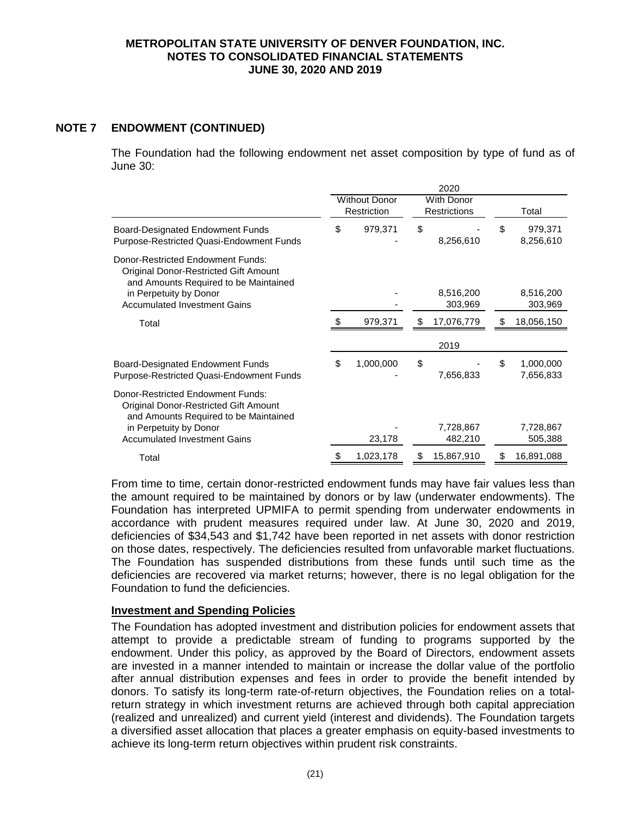# **NOTE 7 ENDOWMENT (CONTINUED)**

The Foundation had the following endowment net asset composition by type of fund as of June 30:

|                                                                                                                     | 2020 |                                     |    |                                          |    |                        |
|---------------------------------------------------------------------------------------------------------------------|------|-------------------------------------|----|------------------------------------------|----|------------------------|
|                                                                                                                     |      | <b>Without Donor</b><br>Restriction |    | <b>With Donor</b><br><b>Restrictions</b> |    | Total                  |
| Board-Designated Endowment Funds<br>Purpose-Restricted Quasi-Endowment Funds                                        | \$   | 979,371                             | \$ | 8,256,610                                | \$ | 979,371<br>8,256,610   |
| Donor-Restricted Endowment Funds:<br>Original Donor-Restricted Gift Amount<br>and Amounts Required to be Maintained |      |                                     |    |                                          |    |                        |
| in Perpetuity by Donor<br><b>Accumulated Investment Gains</b>                                                       |      |                                     |    | 8,516,200<br>303,969                     |    | 8,516,200<br>303,969   |
| Total                                                                                                               |      | 979,371                             | \$ | 17,076,779                               |    | 18,056,150             |
|                                                                                                                     |      |                                     |    | 2019                                     |    |                        |
| Board-Designated Endowment Funds<br>Purpose-Restricted Quasi-Endowment Funds                                        | \$   | 1,000,000                           | \$ | 7,656,833                                | \$ | 1,000,000<br>7,656,833 |
| Donor-Restricted Endowment Funds:<br>Original Donor-Restricted Gift Amount<br>and Amounts Required to be Maintained |      |                                     |    |                                          |    |                        |
| in Perpetuity by Donor<br><b>Accumulated Investment Gains</b>                                                       |      | 23,178                              |    | 7,728,867<br>482,210                     |    | 7,728,867<br>505,388   |
| Total                                                                                                               |      | 1,023,178                           | S  | 15,867,910                               |    | 16,891,088             |

From time to time, certain donor-restricted endowment funds may have fair values less than the amount required to be maintained by donors or by law (underwater endowments). The Foundation has interpreted UPMIFA to permit spending from underwater endowments in accordance with prudent measures required under law. At June 30, 2020 and 2019, deficiencies of \$34,543 and \$1,742 have been reported in net assets with donor restriction on those dates, respectively. The deficiencies resulted from unfavorable market fluctuations. The Foundation has suspended distributions from these funds until such time as the deficiencies are recovered via market returns; however, there is no legal obligation for the Foundation to fund the deficiencies.

# **Investment and Spending Policies**

The Foundation has adopted investment and distribution policies for endowment assets that attempt to provide a predictable stream of funding to programs supported by the endowment. Under this policy, as approved by the Board of Directors, endowment assets are invested in a manner intended to maintain or increase the dollar value of the portfolio after annual distribution expenses and fees in order to provide the benefit intended by donors. To satisfy its long-term rate-of-return objectives, the Foundation relies on a totalreturn strategy in which investment returns are achieved through both capital appreciation (realized and unrealized) and current yield (interest and dividends). The Foundation targets a diversified asset allocation that places a greater emphasis on equity-based investments to achieve its long-term return objectives within prudent risk constraints.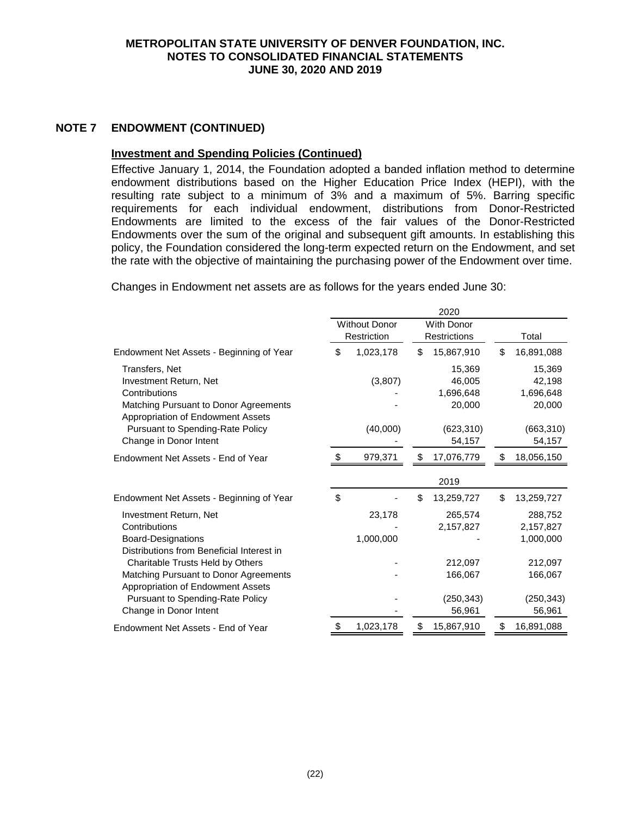#### **NOTE 7 ENDOWMENT (CONTINUED)**

# **Investment and Spending Policies (Continued)**

Effective January 1, 2014, the Foundation adopted a banded inflation method to determine endowment distributions based on the Higher Education Price Index (HEPI), with the resulting rate subject to a minimum of 3% and a maximum of 5%. Barring specific requirements for each individual endowment, distributions from Donor-Restricted Endowments are limited to the excess of the fair values of the Donor-Restricted Endowments over the sum of the original and subsequent gift amounts. In establishing this policy, the Foundation considered the long-term expected return on the Endowment, and set the rate with the objective of maintaining the purchasing power of the Endowment over time.

Changes in Endowment net assets are as follows for the years ended June 30:

|                                                                            |                      | 2020                |                  |
|----------------------------------------------------------------------------|----------------------|---------------------|------------------|
|                                                                            | <b>Without Donor</b> | <b>With Donor</b>   |                  |
|                                                                            | Restriction          | <b>Restrictions</b> | Total            |
| Endowment Net Assets - Beginning of Year                                   | \$<br>1,023,178      | \$<br>15,867,910    | \$<br>16,891,088 |
| Transfers, Net                                                             |                      | 15,369              | 15,369           |
| Investment Return, Net                                                     | (3,807)              | 46,005              | 42,198           |
| Contributions                                                              |                      | 1,696,648           | 1,696,648        |
| Matching Pursuant to Donor Agreements<br>Appropriation of Endowment Assets |                      | 20,000              | 20,000           |
| Pursuant to Spending-Rate Policy                                           | (40,000)             | (623, 310)          | (663, 310)       |
| Change in Donor Intent                                                     |                      | 54,157              | 54,157           |
| Endowment Net Assets - End of Year                                         | 979,371              | \$<br>17,076,779    | \$<br>18,056,150 |
|                                                                            |                      | 2019                |                  |
| Endowment Net Assets - Beginning of Year                                   | \$                   | \$<br>13,259,727    | \$<br>13,259,727 |
| Investment Return, Net                                                     | 23,178               | 265,574             | 288,752          |
| Contributions                                                              |                      | 2,157,827           | 2,157,827        |
| <b>Board-Designations</b>                                                  | 1,000,000            |                     | 1,000,000        |
| Distributions from Beneficial Interest in                                  |                      |                     |                  |
| Charitable Trusts Held by Others                                           |                      | 212,097             | 212,097          |
| Matching Pursuant to Donor Agreements                                      |                      | 166,067             | 166,067          |
| Appropriation of Endowment Assets                                          |                      |                     |                  |
| Pursuant to Spending-Rate Policy                                           |                      | (250, 343)          | (250, 343)       |
| Change in Donor Intent                                                     |                      | 56,961              | 56,961           |
| Endowment Net Assets - End of Year                                         | \$<br>1,023,178      | \$<br>15,867,910    | \$<br>16,891,088 |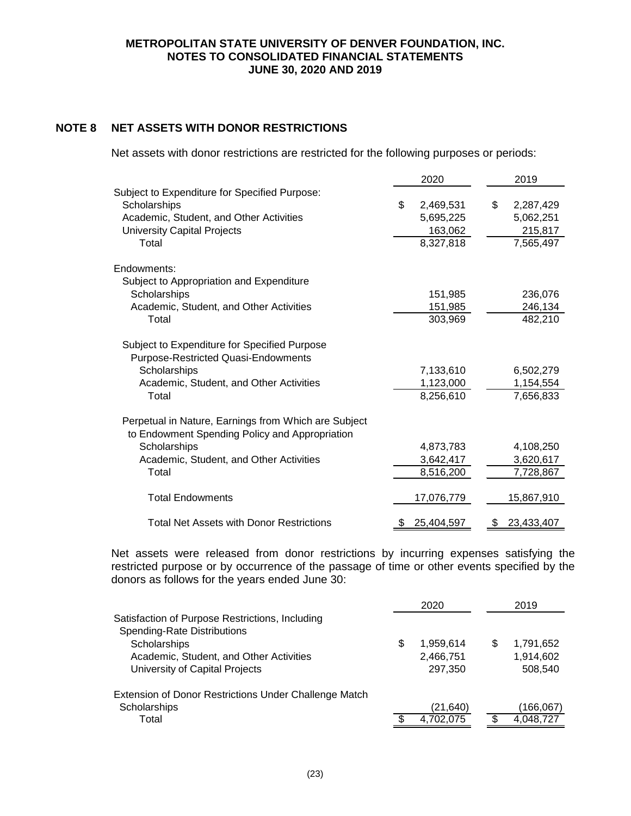# **NOTE 8 NET ASSETS WITH DONOR RESTRICTIONS**

Net assets with donor restrictions are restricted for the following purposes or periods:

|                                                                                                        |    | 2020       | 2019             |
|--------------------------------------------------------------------------------------------------------|----|------------|------------------|
| Subject to Expenditure for Specified Purpose:                                                          |    |            |                  |
| Scholarships                                                                                           | \$ | 2,469,531  | \$<br>2,287,429  |
| Academic, Student, and Other Activities                                                                |    | 5,695,225  | 5,062,251        |
| <b>University Capital Projects</b>                                                                     |    | 163,062    | 215,817          |
| Total                                                                                                  |    | 8,327,818  | 7,565,497        |
| Endowments:                                                                                            |    |            |                  |
| Subject to Appropriation and Expenditure                                                               |    |            |                  |
| Scholarships                                                                                           |    | 151,985    | 236,076          |
| Academic, Student, and Other Activities                                                                |    | 151,985    | 246,134          |
| Total                                                                                                  |    | 303,969    | 482,210          |
| Subject to Expenditure for Specified Purpose<br>Purpose-Restricted Quasi-Endowments                    |    |            |                  |
| Scholarships                                                                                           |    | 7,133,610  | 6,502,279        |
| Academic, Student, and Other Activities                                                                |    | 1,123,000  | 1,154,554        |
| Total                                                                                                  |    | 8,256,610  | 7,656,833        |
| Perpetual in Nature, Earnings from Which are Subject<br>to Endowment Spending Policy and Appropriation |    |            |                  |
| Scholarships                                                                                           |    | 4,873,783  | 4,108,250        |
| Academic, Student, and Other Activities                                                                |    | 3,642,417  | 3,620,617        |
| Total                                                                                                  |    | 8,516,200  | 7,728,867        |
| <b>Total Endowments</b>                                                                                |    | 17,076,779 | 15,867,910       |
| <b>Total Net Assets with Donor Restrictions</b>                                                        | S  | 25,404,597 | \$<br>23,433,407 |

Net assets were released from donor restrictions by incurring expenses satisfying the restricted purpose or by occurrence of the passage of time or other events specified by the donors as follows for the years ended June 30:

|                                                                                       |   | 2020      |   | 2019      |
|---------------------------------------------------------------------------------------|---|-----------|---|-----------|
| Satisfaction of Purpose Restrictions, Including<br><b>Spending-Rate Distributions</b> |   |           |   |           |
| Scholarships                                                                          | S | 1,959,614 | S | 1,791,652 |
| Academic, Student, and Other Activities                                               |   | 2,466,751 |   | 1,914,602 |
| University of Capital Projects                                                        |   | 297.350   |   | 508.540   |
| Extension of Donor Restrictions Under Challenge Match                                 |   |           |   |           |
| Scholarships                                                                          |   | (21, 640) |   | 166,067   |
| Total                                                                                 |   | 4,702,075 |   | 4,048,727 |
|                                                                                       |   |           |   |           |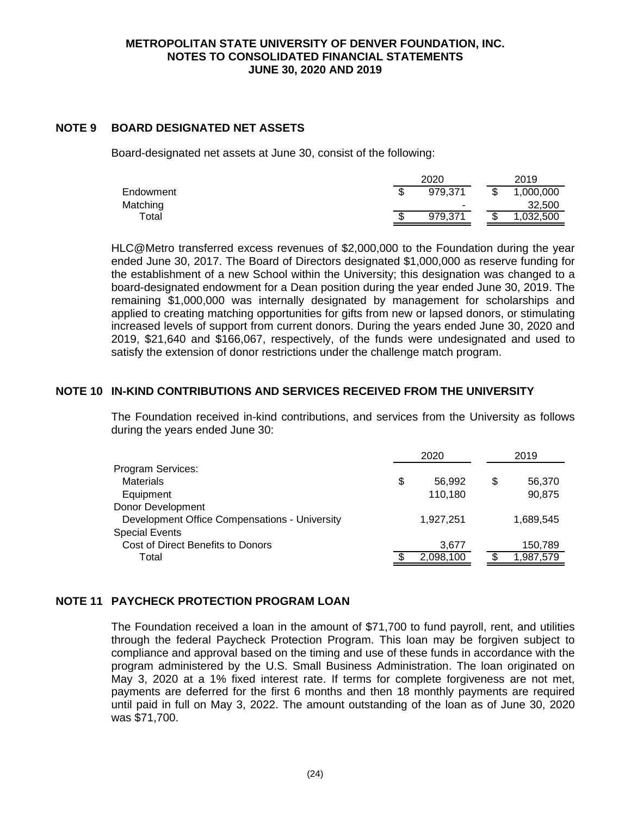## **NOTE 9 BOARD DESIGNATED NET ASSETS**

Board-designated net assets at June 30, consist of the following:

|             | 2020    |  |    | 2019      |
|-------------|---------|--|----|-----------|
| Endowment   | 979.371 |  |    | 1,000,000 |
| Matching    | -       |  |    | 32,500    |
| $\tau$ otal | 979.371 |  | \$ | ,032,500  |

HLC@Metro transferred excess revenues of \$2,000,000 to the Foundation during the year ended June 30, 2017. The Board of Directors designated \$1,000,000 as reserve funding for the establishment of a new School within the University; this designation was changed to a board-designated endowment for a Dean position during the year ended June 30, 2019. The remaining \$1,000,000 was internally designated by management for scholarships and applied to creating matching opportunities for gifts from new or lapsed donors, or stimulating increased levels of support from current donors. During the years ended June 30, 2020 and 2019, \$21,640 and \$166,067, respectively, of the funds were undesignated and used to satisfy the extension of donor restrictions under the challenge match program.

# **NOTE 10 IN-KIND CONTRIBUTIONS AND SERVICES RECEIVED FROM THE UNIVERSITY**

The Foundation received in-kind contributions, and services from the University as follows during the years ended June 30:

|                                               | 2020         |    | 2019      |
|-----------------------------------------------|--------------|----|-----------|
| Program Services:                             |              |    |           |
| <b>Materials</b>                              | \$<br>56,992 | \$ | 56,370    |
| Equipment                                     | 110,180      |    | 90,875    |
| Donor Development                             |              |    |           |
| Development Office Compensations - University | 1,927,251    |    | 1,689,545 |
| <b>Special Events</b>                         |              |    |           |
| Cost of Direct Benefits to Donors             | 3,677        |    | 150,789   |
| Total                                         | 2,098,100    |    | 1,987,579 |
|                                               |              |    |           |

# **NOTE 11 PAYCHECK PROTECTION PROGRAM LOAN**

The Foundation received a loan in the amount of \$71,700 to fund payroll, rent, and utilities through the federal Paycheck Protection Program. This loan may be forgiven subject to compliance and approval based on the timing and use of these funds in accordance with the program administered by the U.S. Small Business Administration. The loan originated on May 3, 2020 at a 1% fixed interest rate. If terms for complete forgiveness are not met, payments are deferred for the first 6 months and then 18 monthly payments are required until paid in full on May 3, 2022. The amount outstanding of the loan as of June 30, 2020 was \$71,700.